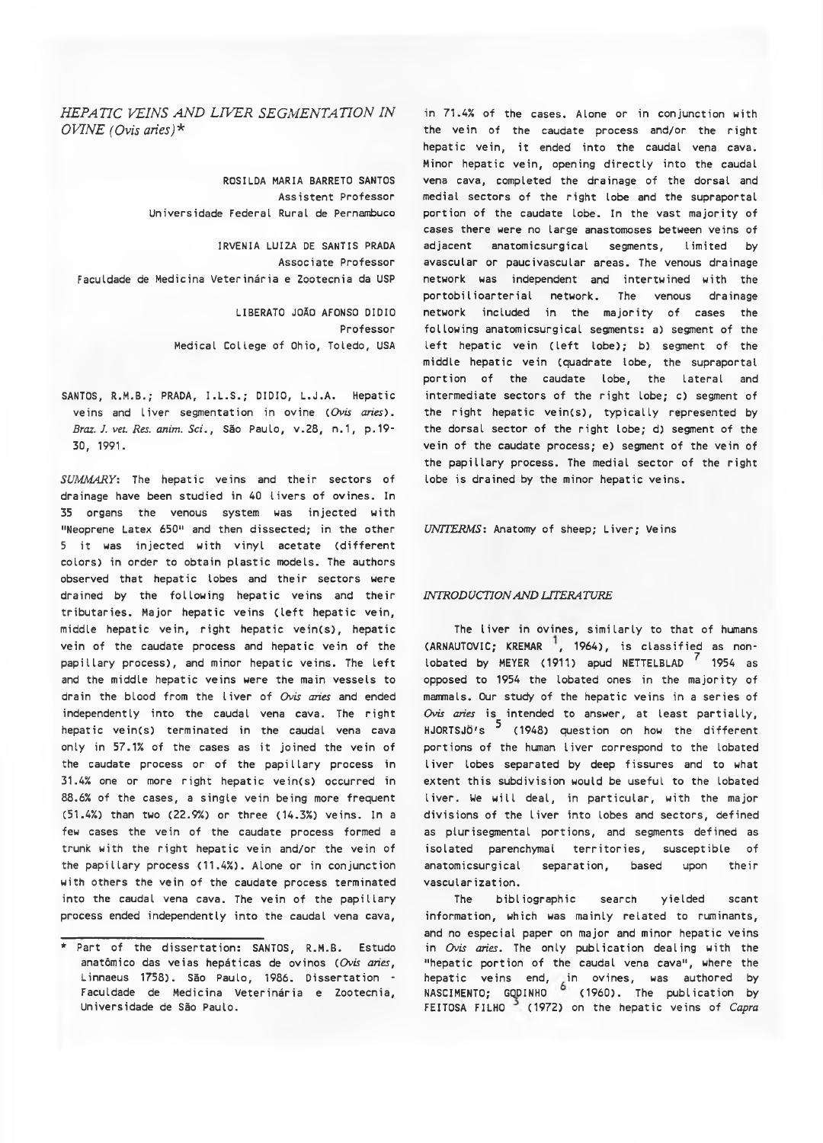## *HEPATIC VEINS AND LIVER SEGMENTATION IN OVINE (Ovis aries)\**

ROSILDA MARIA BARRETO SANTOS Assistent Professor Universidade Federal Rural de Pernambuco

IRVENIA LUIZA DE SANTIS PRADA Associate Professor Faculdade de Medicina Veterinária e Zootecnia da USP

> LIBERATO JOÃO AFONSO DIDIO Professor Medical College of Ohio, Toledo, USA

SANTOS, R.M.B.; PRADA, I.L.S.; DIDIO, L.J.A. Hepatic veins and liver segmentation in ovine *( Ovis aries). Braz. J. vet. Res. anim. Sci.*, São Paulo, v.28, n.1, p.19-30, 1991.

*SUMMARY:* The hepatic veins and their sectors of drainage have been studied in 40 livers of ovines. In 35 organs the venous system was injected with "Neoprene Latex 650" and then dissected; in the other 5 it was injected with vinyl acetate (different colors) in order to obtain plastic models. The authors observed that hepatic lobes and their sectors were drained by the following hepatic veins and their tributaries. Major hepatic veins (left hepatic vein, middle hepatic vein, right hepatic vein(s), hepatic vein of the caudate process and hepatic vein of the papillary process), and minor hepatic veins. The left and the middle hepatic veins were the main vessels to drain the blood from the liver of *Ovis aries* and ended independently into the caudal vena cava. The right hepatic vein(s) terminated in the caudal vena cava only in 57.1% of the cases as it joined the vein of the caudate process or of the papillary process in 31.4% one or more right hepatic vein(s) occurred in 88.6% of the cases, a single vein being more frequent (51.4%) than two (22.9%) or three (14.3%) veins. In a few cases the vein of the caudate process formed a trunk with the right hepatic vein and/or the vein of the papillary process (11.4%). Alone or in conjunction with others the vein of the caudate process terminated into the caudal vena cava. The vein of the papillary process ended independently into the caudal vena cava,

in 71.4% of the cases. Alone or in conjunction with the vein of the caudate process and/or the right hepatic vein, it ended into the caudal vena cava. Minor hepatic vein, opening directly into the caudal vena cava, completed the drainage of the dorsal and medial sectors of the right lobe and the supraportal portion of the caudate lobe. In the vast majority of cases there were no large anastomoses between veins of adiacent anatomicsurgical segments, limited by avascular or paucivascular areas. The venous drainage network was independent and intertwined with the portobilioarterial network. The venous drainage network included in the majority of cases the following anatomicsurgical segments: a) segment of the left hepatic vein (left lobe); b) segment of the middle hepatic vein (quadrate lobe, the supraportal portion of the caudate lobe, the lateral and intermediate sectors of the right lobe; c) segment of the right hepatic vein(s), typically represented by the dorsal sector of the right lobe; d) segment of the vein of the caudate process; e) segment of the vein of the papillary process. The medial sector of the right lobe is drained by the minor hepatic veins.

*UNTTERMS:* Anatomy of sheep; Liver; Veins

## *INTRODUCTION AND LITERATURE*

The liver in ovines, similarly to that of humans  $(ARNAUTOVIC; KREMAR<sup>1</sup>, 1964)$ , is classified as nonlobated by MEYER (1911) apud NETTELBLAD<sup>7</sup> 1954 as opposed to 1954 the lobated ones in the majority of mammals. Our study of the hepatic veins in a series of *Ovis aries* is intended to answer, at least partially, HJORTSJO's <sup>5</sup> (1948) question on how the different portions of the human liver correspond to the lobated liver lobes separated by deep fissures and to what extent this subdivision would be useful to the lobated liver. Ue will deal, in particular, with the major divisions of the liver into lobes and sectors, defined as plurisegmental portions, and segments defined as isolated parenchymal territories, susceptible of anatomicsurgical separation, based upon their vascularization.

The bibliographic search yielded scant information, which was mainly related to ruminants, and no especial paper on major and minor hepatic veins in *Ovis aries.* The only publication dealing with the "hepatic portion of the caudal vena cava", where the hepatic veins end, in ovines, was authored by NASCIMENTO; GQDINHO (1960). The publication by FEITOSA FILHO<sup>2</sup> (1972) on the hepatic veins of *Capra* 

<sup>\*</sup> Part of the dissertation: SANTOS, R.M.B. Estudo anatômico das veias hepáticas de ovinos *( Ovis aries,* Linnaeus 1758). São Paulo, 1986. Dissertation - Faculdade de Medicina Veterinária e Zootecnia, Universidade de São Paulo.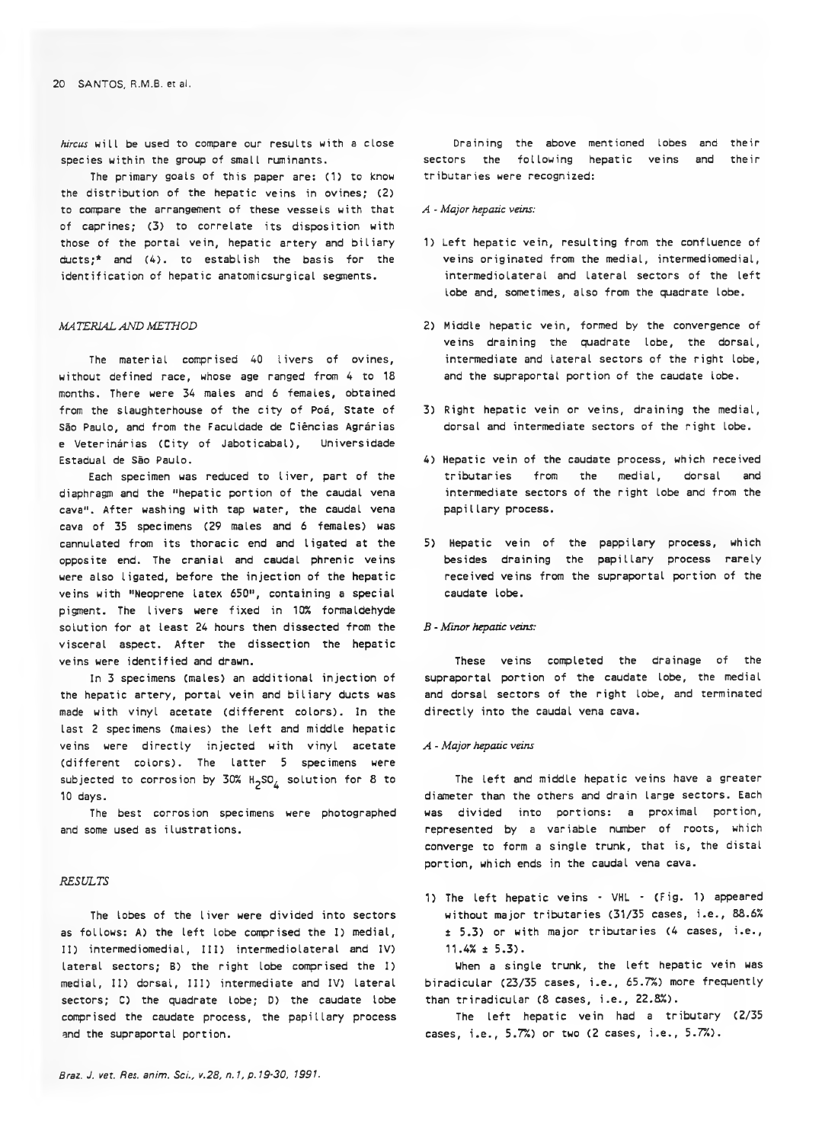*hircus* will be used to compare our results with a close species within the group of small ruminants.

The primary goals of this paper are: (1) to know the distribution of the hepatic veins in ovines; (2) to compare the arrangement of these vessels with that of caprines; (3) to correlate its disposition with those of the portal vein, hepatic artery and biliary ducts;\* and (4). to establish the basis for the identification of hepatic anatomicsurgical segments.

## *MA TERIAL AND METHOD*

The material comprised 40 livers of ovines, without defined race, whose age ranged from 4 to 18 months. There were 34 males and 6 females, obtained from the slaughterhouse of the city of Poá, State of São Paulo, and from the Faculdade de Ciências Agrárias e Veterinárias CCity of Jaboticabal), Universidade Estadual de São Paulo.

Each specimen was reduced to liver, part of the diaphragm and the "hepatic portion of the caudal vena cava". After washing with tap water, the caudal vena cava of 35 specimens (29 males and 6 females) was cannulated from its thoracic end and ligated at the opposite end. The cranial and caudal phrenic veins were also ligated, before the injection of the hepatic veins with "Neoprene latex 650", containing a special pigment. The livers were fixed in 10% formaldehyde solution for at least 24 hours then dissected from the visceral aspect. After the dissection the hepatic veins were identified and drawn.

In 3 specimens (males) an additional injection of the hepatic artery, portal vein and biliary ducts was made with vinyl acetate (different colors). In the last 2 specimens (males) the left and middle hepatic veins were directly injected with vinyl acetate (different colors). The latter 5 specimens were subjected to corrosion by  $30\%$  H<sub>2</sub>SO<sub> $\&$ </sub> solution for 8 to 10 days.

The best corrosion specimens were photographed and some used as ilustrations.

## *RESULTS*

The lobes of the liver were divided into sectors as follows: A) the left lobe comprised the I) medial, II) intermediomedial, III) intermediolateral and IV) lateral sectors; B) the right lobe comprised the I) medial, II) dorsal, III) intermediate and IV) lateral sectors; C) the quadrate lobe; D) the caudate lobe comprised the caudate process, the papillary process and the supraportal portion.

Draining the above mentioned lobes and their sectors the following hepatic veins and their tributaries were recognized:

#### *A* - *Major hepatic veins:*

- 1) Left hepatic vein, resulting from the confluence of veins originated from the medial, intermediomedial, intermediolateral and lateral sectors of the left lobe and, sometimes, also from the quadrate lobe.
- 2) Middle hepatic vein, formed by the convergence of veins draining the quadrate lobe, the dorsal, intermediate and lateral sectors of the right lobe, and the supraportal portion of the caudate lobe.
- 3) Right hepatic vein or veins, draining the medial, dorsal and intermediate sectors of the right lobe.
- 4) Hepatic vein of the caudate process, which received tributaries from the medial, dorsal and intermediate sectors of the right lobe and from the papillary process.
- 5) Hepatic vein of the pappilary process, which besides draining the papillary process rarely received veins from the supraportal portion of the caudate lobe.

#### *B - Minor hepatic veins:*

These veins completed the drainage of the supraportal portion of the caudate lobe, the medial and dorsal sectors of the right lobe, and terminated directly into the caudal vena cava.

#### *A - Major hepatic veins*

The left and middle hepatic veins have a greater diameter than the others and drain large sectors. Each was divided into portions: a proximal portion, represented by a variable number of roots, which converge to form a single trunk, that is, the distal portion, which ends in the caudal vena cava.

1) The left hepatic veins - VHL - (Fig. 1) appeared without major tributaries (31/35 cases, i.e., 88.6% ± 5.3) or with major tributaries (4 cases, i.e., 11.4% ± 5.3).

Uhen a single trunk, the left hepatic vein was biradicular (23/35 cases, i.e., 65.7%) more frequently than triradicular (8 cases, i.e., 22.8%).

The left hepatic vein had a tributary (2/35 cases, i.e., 5.7%) or two (2 cases, i.e., 5.7%).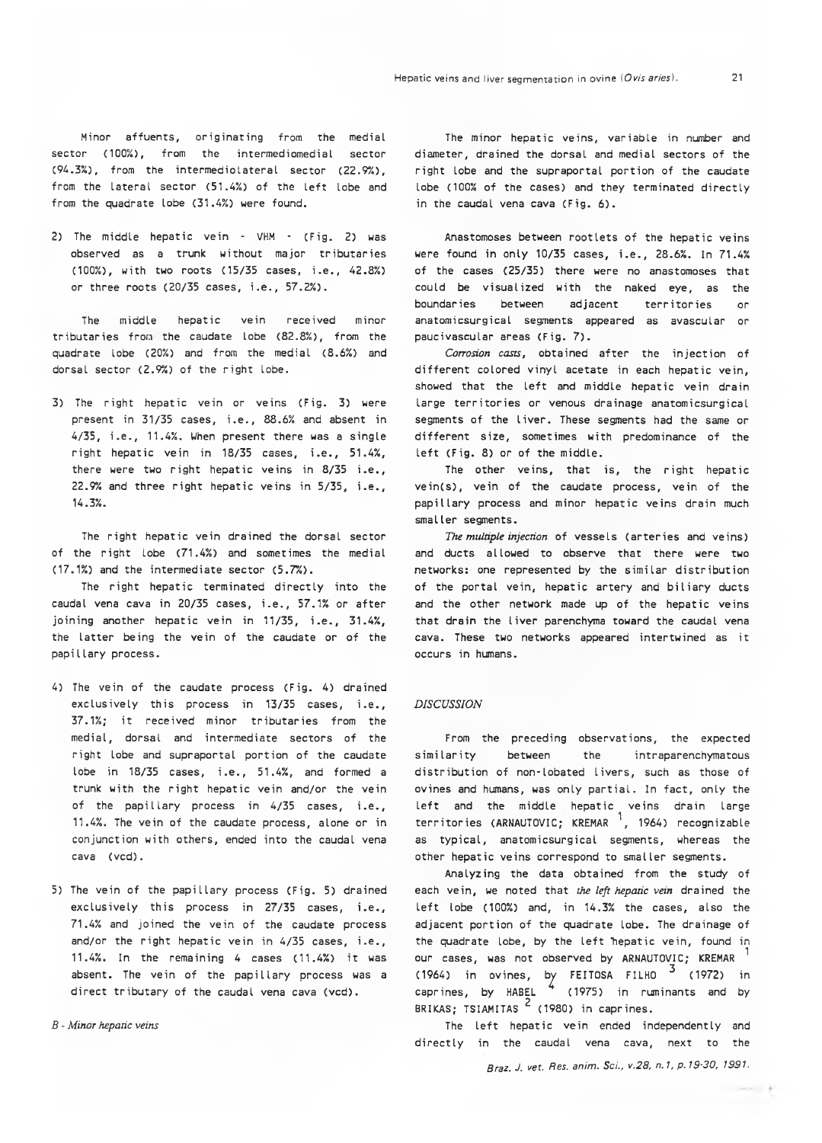Minor affuents, originating from the medial sector (100%), from the intermediomedial sector (94.3%), from the intermediolateral sector (22.9%), from the lateral sector (51.4%) of the left lobe and from the quadrate lobe (31.4%) were found.

2) The middle hepatic vein - VHM - (Fig. 2) was observed as a trunk without major tributaries (100%), with two roots (15/35 cases, i.e., 42.8%) or three roots (20/35 cases, i.e., 57.2%).

The middle hepatic vein received minor tributaries from the caudate lobe (82.8%), from the quadrate lobe (20%) and from the medial (8.6%) and dorsal sector (2.9%) of the right lobe.

3) The right hepatic vein or veins (Fig. 3) were present in 31/35 cases, i.e., 88.6% and absent in 4/35, i.e., 11.4%. When present there was a single right hepatic vein in 18/35 cases, i.e., 51.4%, there were two right hepatic veins in 8/35 i.e., 22.9% and three right hepatic veins in 5/35, i.e., 14.3%.

The right hepatic vein drained the dorsal sector of the right lobe (71.4%) and sometimes the medial (17.1%) and the intermediate sector (5.7%).

The right hepatic terminated directly into the caudal vena cava in 20/35 cases, i.e., 57.1% or after joining another hepatic vein in 11/35, i.e., 31.4%, the latter being the vein of the caudate or of the papillary process.

- 4) The vein of the caudate process (Fig. 4) drained exclusively this process in 13/35 cases, i.e., 37.1%; it received minor tributaries from the medial, dorsal and intermediate sectors of the right lobe and supraportal portion of the caudate lobe in 18/35 cases, i.e., 51.4%, and formed a trunk with the right hepatic vein and/or the vein of the papillary process in 4/35 cases, i.e., 11.4%. The vein of the caudate process, alone or in conjunction with others, ended into the caudal vena cava (vcd).
- 5) The vein of the papillary process (Fig. 5) drained exclusively this process in 27/35 cases, i.e., 71.4% and joined the vein of the caudate process and/or the right hepatic vein in 4/35 cases, i.e., 11.4%. In the remaining 4 cases (11.4%) it was absent. The vein of the papillary process was a direct tributary of the caudal vena cava (vcd).

*B - Minor hepatic veins*

The minor hepatic veins, variable in number and diameter, drained the dorsal and medial sectors of the right lobe and the supraportal portion of the caudate lobe (100% of the cases) and they terminated directly in the caudal vena cava (Fig. 6).

Anastomoses between rootlets of the hepatic veins were found in only 10/35 cases, i.e., 28.6%. In 71.4% of the cases (25/35) there were no anastomoses that could be visualized with the naked eye, as the boundaries between adjacent territories or anatomicsurgical segments appeared as avascular or paucivascular areas (Fig. 7).

*Corrosion casts,* obtained after the injection of different colored vinyl acetate in each hepatic vein, showed that the left and middle hepatic vein drain large territories or venous drainage anatomicsurgical segments of the liver. These segments had the same or different size, sometimes with predominance of the left (Fig. 8) or of the middle.

The other veins, that is, the right hepatic vein(s), vein of the caudate process, vein of the papillary process and minor hepatic veins drain much smaller segments.

*The multiple injection* of vessels (arteries and veins) and ducts allowed to observe that there were two networks: one represented by the similar distribution of the portal vein, hepatic artery and biliary ducts and the other network made up of the hepatic veins that drain the liver parenchyma toward the caudal vena cava. These two networks appeared intertwined as it occurs in humans.

## *DISCUSSION*

From the preceding observations, the expected similarity between the intraparenchymatous distribution of non-lobated livers, such as those of ovines and humans, was only partial. In fact, only the left and the middle hepatic veins drain large territories (ARNAUTOVIC; KREMAR  $\frac{1}{1}$ , 1964) recognizable as typical, anatomicsurgical segments, whereas the other hepatic veins correspond to smaller segments.

Analyzing the data obtained from the study of each vein, we noted that *the left hepatic vein* drained the left lobe (100%) and, in 14.3% the cases, also the adjacent portion of the quadrate lobe. The drainage of the quadrate lobe, by the left hepatic vein, found in our cases, was not observed by ARNAUTOVIC; KREMAR ^ (1964) in ovines, by FEITOSA FILHO  $3$  (1972) in caprines, by HABEL  $\frac{4}{1975}$  in ruminants and by BRIKAS; TSIAMITAS<sup>2</sup> (1980) in caprines.

The left hepatic vein ended independently and directly in the caudal vena cava, next to the

*Braz. J. vet. Res. anim. Sci., v.28, n.1, p.19-30, 1991.*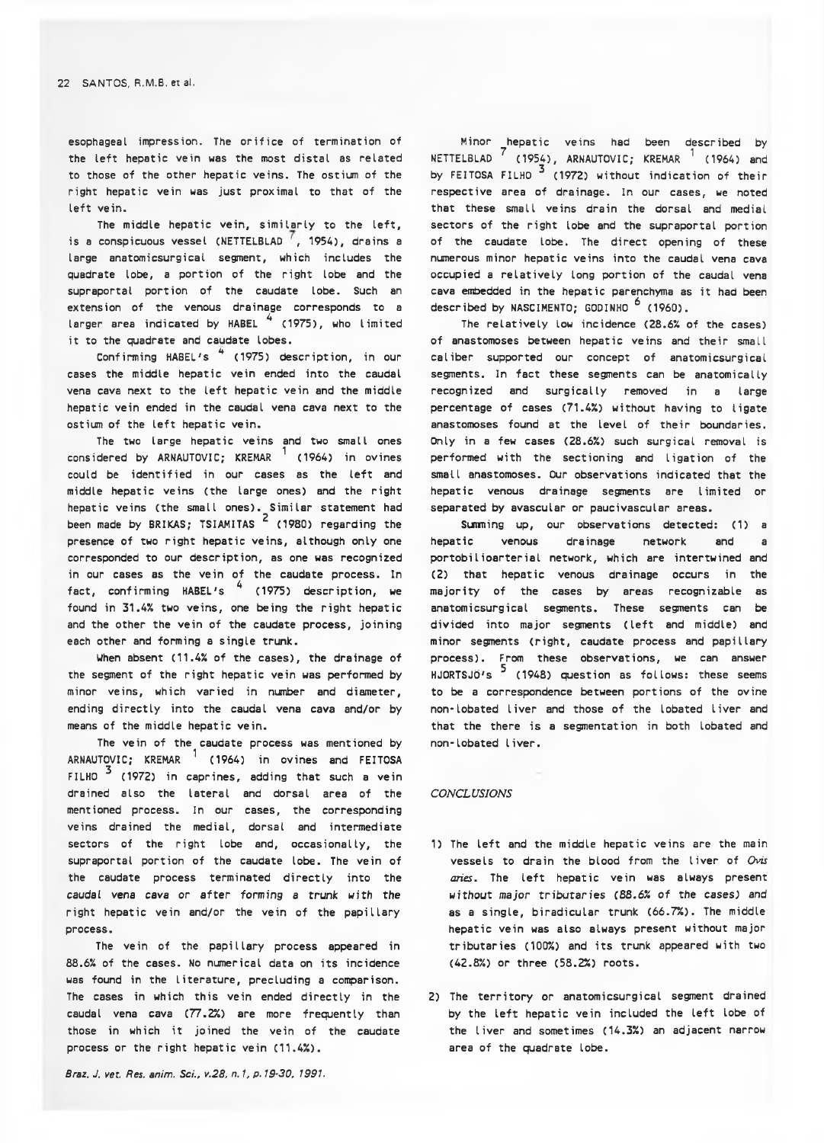esophageal impression. The orifice of termination of the left hepatic vein was the most distal as related to those of the other hepatic veins. The ostium of the right hepatic vein was just proximal to that of the left vein.

The middle hepatic vein, similarly to the left, is a conspicuous vessel (NETTELBLAD<sup>'</sup>, 1954), drains a large anatomicsurgical segment, which includes the quadrate lobe, a portion of the right lobe and the supraportal portion of the caudate lobe. Such an extension of the venous drainage corresponds to a larger area indicated by HABEL <sup>4</sup> (1975), who limited it to the quadrate and caudate lobes.

Confirming HABEL's <sup>4</sup> (1975) description, in our cases the middle hepatic vein ended into the caudal vena cava next to the left hepatic vein and the middle hepatic vein ended in the caudal vena cava next to the ostium of the left hepatic vein.

The two large hepatic veins and two small ones considered by ARNAUTOVIC; KREMAR  $1$  (1964) in ovines could be identified in our cases as the left and middle hepatic veins (the large ones) and the right hepatic veins (the small ones). Similar statement had been made by BRIKAS; TSIAMITAS<sup>2</sup> (1980) regarding the presence of two right hepatic veins, although only one corresponded to our description, as one was recognized in our cases as the vein of the caudate process. In fact, confirming HABEL's  $\frac{4}{1975}$  description, we found in 31.4% two veins, one being the right hepatic and the other the vein of the caudate process, joining each other and forming a single trunk.

When absent (11.4% of the cases), the drainage of the segment of the right hepatic vein was performed by minor veins, which varied in number and diameter, ending directly into the caudal vena cava and/or by means of the middle hepatic vein.

The vein of the caudate process was mentioned by ARNAUTOVIC; KREMAR  $1$  (1964) in ovines and FEITOSA FILHO  $3$  (1972) in caprines, adding that such a vein drained also the lateral and dorsal area of the mentioned process. In our cases, the corresponding veins drained the medial, dorsal and intermediate sectors of the right lobe and, occasionally, the supraportal portion of the caudate lobe. The vein of the caudate process terminated directly into the *caudal vena cava or a fter forming* a trunk with the right hepatic vein and/or the vein of the papillary process.

The vein of the papillary process appeared in 88.6% of the cases. No numerical data on its incidence was found in the literature, precluding a comparison. The cases in which this vein ended directly in the caudal vena cava (77.2%) are more frequently than those in which it joined the vein of the caudate process or the right hepatic vein (11.4%).

*Braz. J. vet. Res. anim. Sci., v.28. n. 1, p. 19-30, 1991.*

Minor hepatic veins had been described by NETTELBLAD  $\begin{bmatrix} 7 & (1954) \\ 1 & 1 & (1964) \end{bmatrix}$  (1964) and by FEITOSA FILHO<sup>3</sup> (1972) without indication of their respective area of drainage. In our cases, we noted that these small veins drain the dorsal and medial sectors of the right lobe and the supraportal portion of the caudate lobe. The direct opening of these numerous minor hepatic veins into the caudal vena cava occupied a relatively long portion of the caudal vena cava embedded in the hepatic parenchyma as it had been described by NASCIMENTO; GODINHO <sup>6</sup> (1960).

The relatively low incidence (28.6% of the cases) of anastomoses between hepatic veins and their small caliber supported our concept of anatomicsurgical segments. In fact these segments can be anatomically recognized and surgically removed in a large percentage of cases (71.4%) without having to ligate anastomoses found at the level of their boundaries. Only in a few cases (28.6%) such surgical removal is performed with the sectioning and ligation of the small anastomoses. Our observations indicated that the hepatic venous drainage segments are limited or separated by avascular or paucivascular areas.

Sinning up, our observations detected: (1) a hepatic venous drainage network and a portobilioarterial network, which are intertwined and (2) that hepatic venous drainage occurs in the majority of the cases by areas recognizable as anatomicsurgicaI segments. These segments can be divided into major segments (left and middle) and minor segments (right, caudate process and papillary process). From these observations, we can answer  $H$ JORTSJÖ's  $^5$  (1948) question as follows: these seems to be a correspondence between portions of the ovine non-lobated liver and those of the lobated liver and that the there is a segmentation in both lobated and non-lobated liver.

#### *CONCLUSIONS*

- 1) The left and the middle hepatic veins are the main vessels to drain the blood from the liver of *Ovis aries.* The left hepatic vein was always present without major tributaries *(88.6% of* the cases) and as a single, biradicular trunk (66.7%). The middle hepatic vein was also always present without major tributaries (100%) and its trunk appeared with two (42.8%) or three (58.2%) roots.
- 2) The territory or anatomicsurgical segment drained by the left hepatic vein included the left lobe of the liver and sometimes (14.3%) an adjacent narrow area of the quadrate lobe.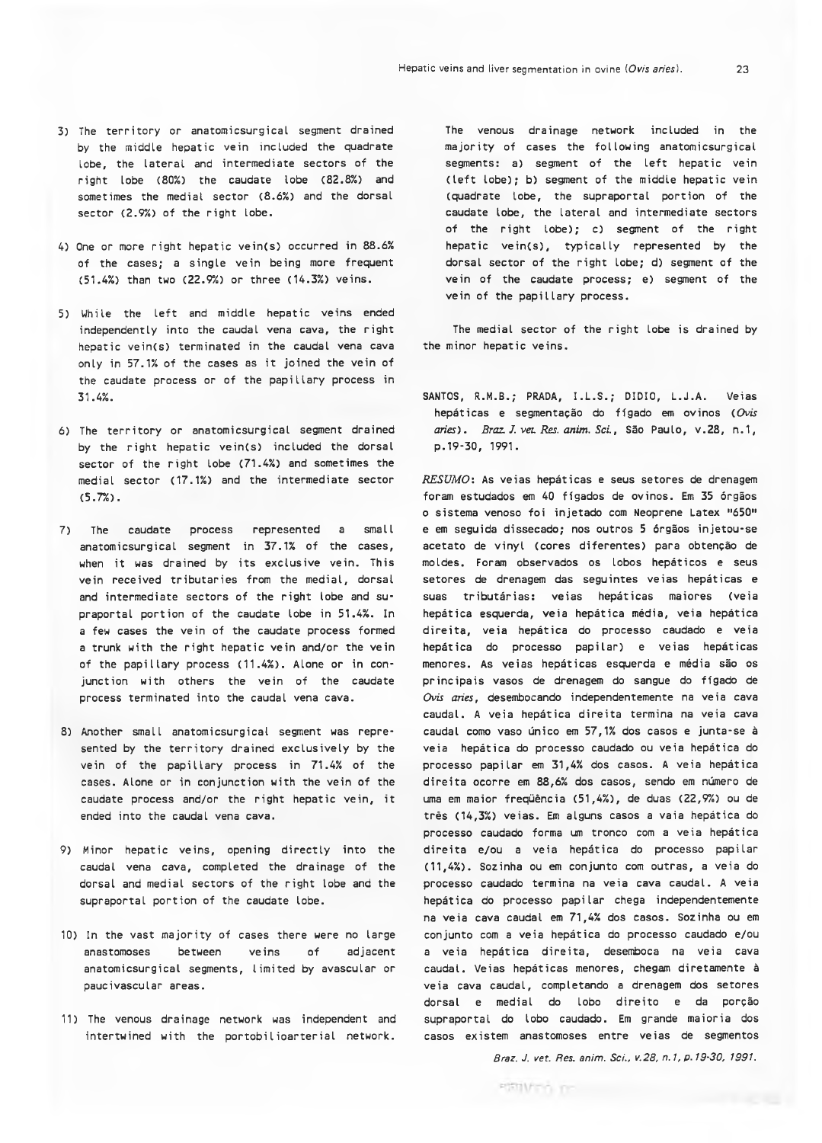- 3) The territory or anatomicsurgical segment drained by the middle hepatic vein included the quadrate lobe, the lateral and intermediate sectors of the right lobe (80%) the caudate lobe (82.8%) and sometimes the medial sector (8.6%) and the dorsal sector (2.9%) of the right lobe.
- 4) One or more right hepatic vein(s) occurred in 88.6% of the cases; a single vein being more frequent (51.4%) than two (22.9%) or three (14.3%) veins.
- 5) While the left and middle hepatic veins ended independently into the caudal vena cava, the right hepatic vein(s) terminated in the caudal vena cava only in 57.1% of the cases as it joined the vein of the caudate process or of the papillary process in 31.4%.
- 6) The territory or anatomicsurgical segment drained by the right hepatic vein(s) included the dorsal sector of the right lobe (71.4%) and sometimes the medial sector (17.1%) and the intermediate sector (5.7%).
- 7) The caudate process represented a small anatomicsurgical segment in 37.1% of the cases, when it was drained by its exclusive vein. This vein received tributaries from the medial, dorsal and intermediate sectors of the right lobe and supraportal portion of the caudate lobe in 51.4%. In a few cases the vein of the caudate process formed a trunk with the right hepatic vein and/or the vein of the papillary process (11.4%). Alone or in conjunction with others the vein of the caudate process terminated into the caudal vena cava.
- 8) Another small anatomicsurgical segment was represented by the territory drained exclusively by the vein of the papillary process in 71.4% of the cases. Alone or in conjunction with the vein of the caudate process and/or the right hepatic vein, it ended into the caudal vena cava.
- 9) Minor hepatic veins, opening directly into the caudal vena cava, completed the drainage of the dorsal and medial sectors of the right lobe and the supraportal portion of the caudate lobe.
- 10) In the vast majority of cases there were no large anastomoses between veins of adjacent anatomicsurgical segments, limited by avascular or paucivascular areas.
- 11) The venous drainage network was independent and intertwined with the portobiIioarterial network.

The venous drainage network included in the majority of cases the following anatomicsurgical segments: a) segment of the left hepatic vein (left lobe); b) segment of the middle hepatic vein (quadrate lobe, the supraportal portion of the caudate lobe, the lateral and intermediate sectors of the right lobe); c) segment of the right hepatic vein(s), typically represented by the dorsal sector of the right lobe; d) segment of the vein of the caudate process; e) segment of the vein of the papillary process.

The medial sector of the right lobe is drained by the minor hepatic veins.

SANTOS, R.M.B.; PRADA, I.L.S.; DIDIO, L.J.A. Veias hepáticas e segmentação do fígado em ovinos *( Ovis aries). Braz. J. vet. Res. anim. Sci*., São Paulo, v.28, n.1, p . 19-30, 1991.

*RESUMO:* As veias hepáticas e seus setores de drenagem foram estudados em 40 fígados de ovinos. Em 35 órgãos o sistema venoso foi injetado com Neoprene Latex "650" e em seguida dissecado; nos outros 5 órgãos injetou-se acetato de vinyl (cores diferentes) para obtenção de moldes. Foram observados os lobos hepáticos e seus setores de drenagem das seguintes veias hepáticas e suas tributárias: veias hepáticas maiores (veia hepática esquerda, veia hepática média, veia hepática direita, veia hepática do processo caudado e veia hepática do processo papilar) e veias hepáticas menores. As veias hepáticas esquerda e média são os principais vasos de drenagem do sangue do fígado de Ovis aries, desembocando independentemente na veia cava caudal. A veia hepática direita termina na veia cava caudal como vaso único em 57,1% dos casos e junta-se à veia hepática do processo caudado ou veia hepática do processo papilar em 31,4% dos casos. A veia hepática direita ocorre em 88,6% dos casos, sendo em número de uma em maior freqüência (51,4%), de duas (22,9%) ou de três (14,3%) veias. Em alguns casos a vaia hepática do processo caudado forma um tronco com a veia hepática direita e/ou a veia hepática do processo papilar (11,4%). Sozinha ou em conjunto com outras, a veia do processo caudado termina na veia cava caudal. A veia hepática do processo papilar chega independentemente na veia cava caudal em 71,4% dos casos. Sozinha ou em conjunto com a veia hepática do processo caudado e/ou a veia hepática direita, desemboca na veia cava caudal. Veias hepáticas menores, chegam diretamente à veia cava caudal, completando a drenagem dos setores dorsal e medial do lobo direito e da porção supraportal do lobo caudado. Em grande maioria dos casos existem anastomoses entre veias de segmentos

*Braz. J. vet. Res. anim. Sci., v.28, n. 1, p. 19-30, 1991.*

**POSTIVITY TO THE**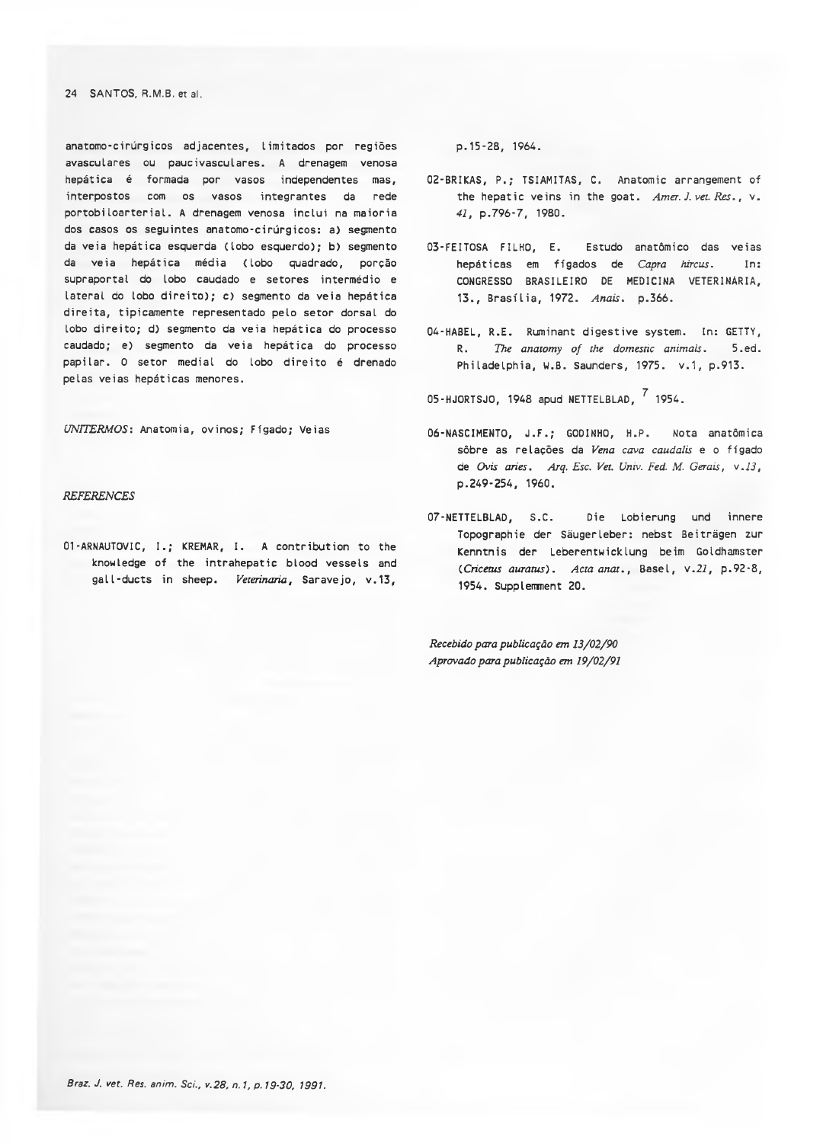## 24 SANTOS, R.M.B. et al.

anatomo-cirúrgicos adjacentes, limitados por regiões avasculares ou paucivasculares. A drenagem venosa hepática é formada por vasos independentes mas, interpostos com os vasos integrantes da rede portobiloarterial. A drenagem venosa inclui na maioria dos casos os seguintes anatomo-cirúrgicos: a) segmento da veia hepática esquerda (lobo esquerdo); b) segmento da veia hepática média (lobo quadrado, porção supraportal do lobo caudado e setores intermédio e lateral do lobo direito); c) segmento da veia hepática direita, tipicamente representado pelo setor dorsal do lobo direito; d) segmento da veia hepática do processo caudado; e) segmento da veia hepática do processo papilar. 0 setor mediai do lobo direito é drenado pelas veias hepáticas menores.

*UNITERMOS:* Anatomia, ovinos; Fígado; Veias

## *REFERENCES*

0 1 -ARNAUTOVIC, I.; KREMAR, I. A contribution to the knowledge of the intrahepatic blood vessels and gal I-ducts in sheep. *Veterinaria,* Saravejo, v.13.

p . 15-28, 1964.

- 02-BRIKAS, P.; TSIAMITAS, C. Anatomic arrangement of the hepatic veins in the goat. *Amer. J. vet. Res.,* v. *41,* p.796-7, 1980.
- 03-FEITOSA FILHO, E. Estudo anatômico das veias hepáticas em fígados de *Capra hircus.* In: CONGRESSO BRASILEIRO DE MEDICINA VETERINÁRIA, 13., Brasília, 1972. *Anais.* p.366.
- 04-HABEL, R.E. Ruminant digestive system. In: GETTY, R. *The anatomy of the domestic animals.* 5.ed. Philadelphia, W.B. Saunders, 1975. v.1, p.913.

05-HJORTSJO, 1948 apud NETTELBLAD, 7 1954.

- 06-NASCIMENTO, J.F.; GODINHO, H.P. Nota anatômica sôbre as relações da *Vena cava caudalis* e o fígado de *Ovis aries. Arq. Esc. Vet. Univ. Fed. M. Gerais, v.13,* p.249-254, 1960.
- 07-NETTELBLAD, S.C. Die Lobierung und innere Topographie der Sáugerleber: nebst Beitrëgen zur Kenntnis der Leberentwicklung beim Goldhamster *(.Cricetus awatus). Actaanat.,* Basel, v.2i, p.92-8, 1954. Supplemment 20.

*Recebido para publicação em 13/02/90 Aprovado para publicação em 19/02/91*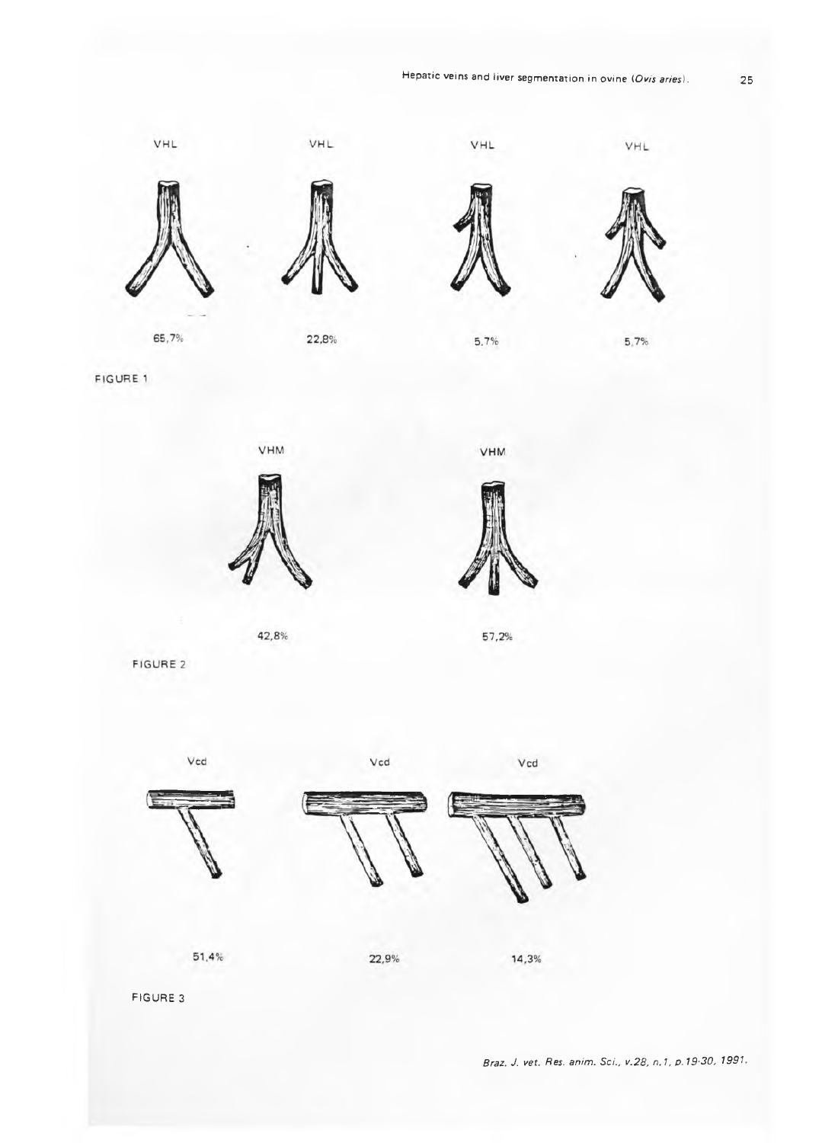# Hepatic veins and liver segmentation in ovine *(Ovis aries*). 25



FIGURE 1





**VHM** 

57,2%

FIGURE 2

Vcd







Vcd

FIGURE 3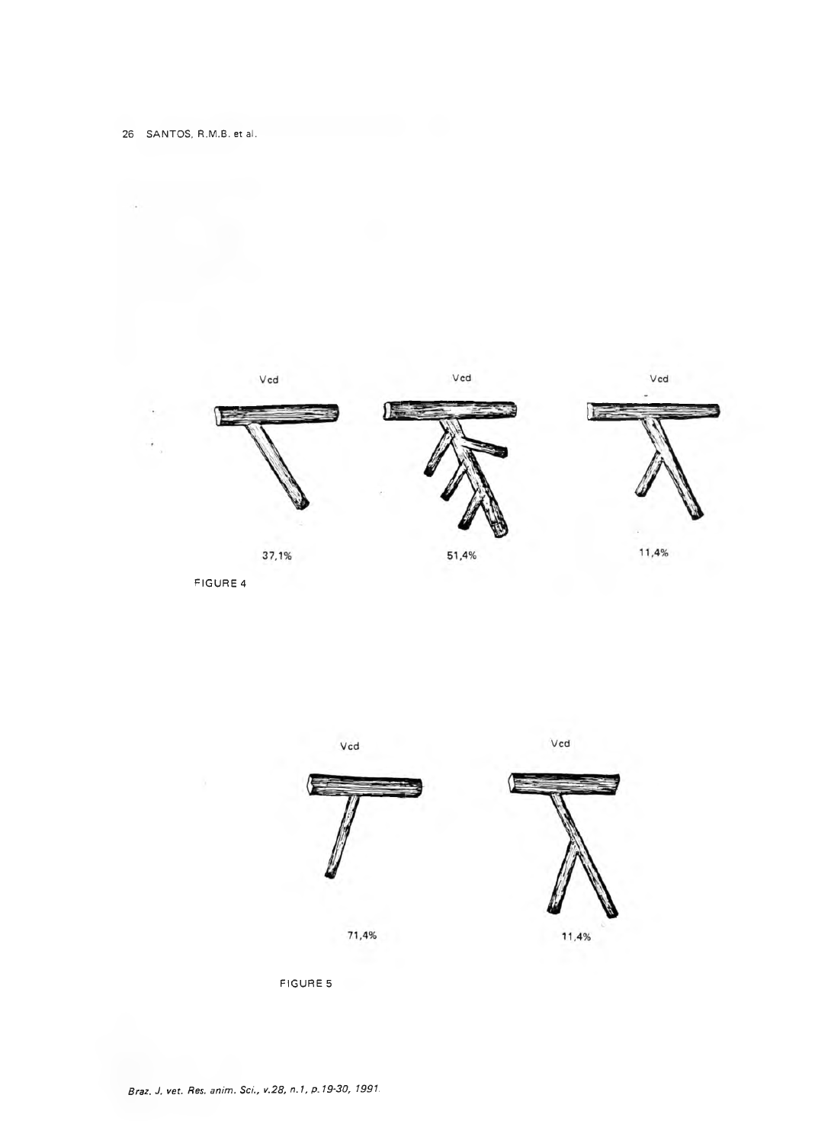

FIGURE 4



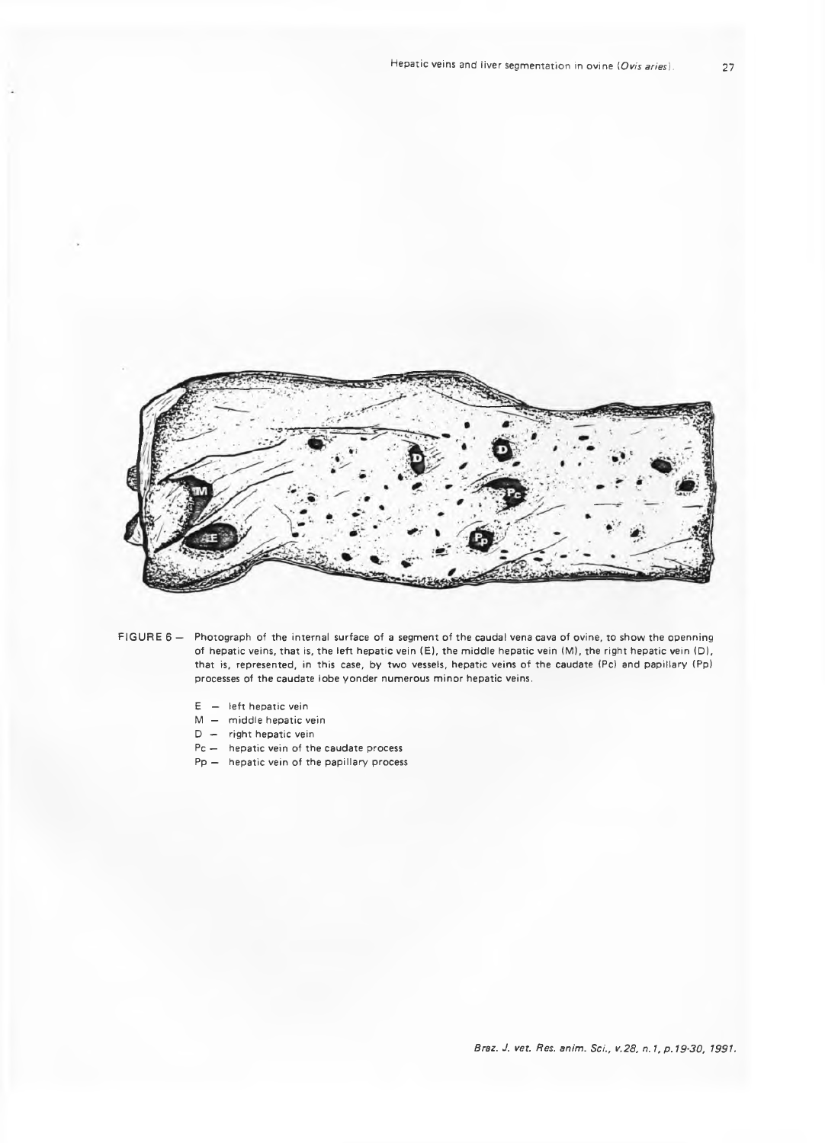

- FIGURE 6 Photograph of the internal surface of a segment of the caudal vena cava of ovine, to show the openning of hepatic veins, that is, the left hepatic vein (E), the middle hepatic vein (M), the right hepatic vein (D), that is, represented, in this case, by two vessels, hepatic veins of the caudate (Pc) and papillary (Pp) processes of the caudate lobe yonder numerous minor hepatic veins.
	- $E -$  left hepatic vein
	- $M -$  middle hepatic vein
	- $D -$  right hepatic vein
	- Pc hepatic vein of the caudate process
	- $Pp -$  hepatic vein of the papillary process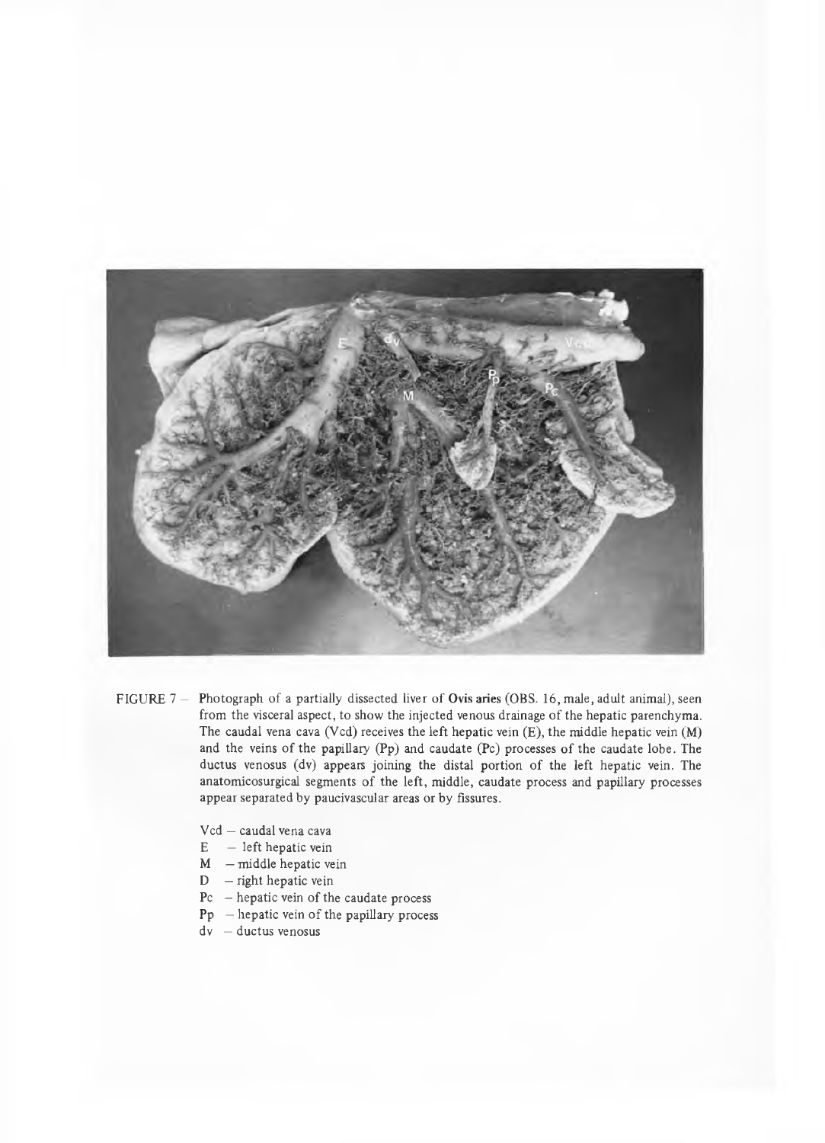

- FIGURE 7 Photograph of a partially dissected liver of Ovis aries (OBS. 16, male, adult animal), seen from the visceral aspect, to show the injected venous drainage of the hepatic parenchyma. The caudal vena cava (Vcd) receives the left hepatic vein  $(E)$ , the middle hepatic vein  $(M)$ and the veins of the papillary  $(Pp)$  and caudate  $(Pc)$  processes of the caudate lobe. The ductus venosus (dv) appears joining the distal portion of the left hepatic vein. The anatomicosurgical segments of the left, middle, caudate process and papillary processes appear separated by paucivascular areas or by fissures.
	- Vcd caudal vena cava
	- $E left$  hepatic vein
	- $M$  middle hepatic vein
	- $D$  right hepatic vein
	- $Pc$  hepatic vein of the caudate process
	- $Pp$  hepatic vein of the papillary process
	- dv ductus venosus